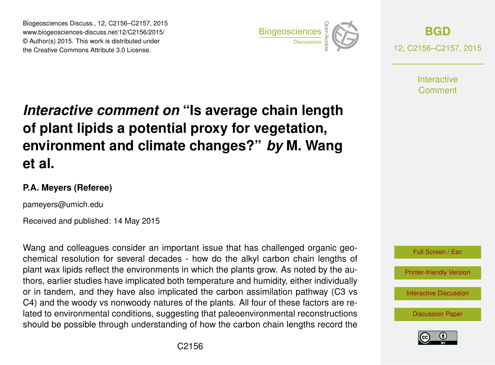Biogeosciences Discuss., 12, C2156–C2157, 2015 www.biogeosciences-discuss.net/12/C2156/2015/ © Author(s) 2015. This work is distributed under Biogeosciences Discuss., 12, C2156–C2157, 2015<br>
www.biogeosciences-discuss.net/12/C2156/2015/<br>
© Author(s) 2015. This work is distributed under<br>
the Creative Commons Attribute 3.0 License.



**[BGD](http://www.biogeosciences-discuss.net)** 12, C2156–C2157, 2015

> **Interactive** Comment

## *Interactive comment on* **"Is average chain length of plant lipids a potential proxy for vegetation, environment and climate changes?"** *by* **M. Wang et al.**

## **P.A. Meyers (Referee)**

pameyers@umich.edu

Received and published: 14 May 2015

Wang and colleagues consider an important issue that has challenged organic geochemical resolution for several decades - how do the alkyl carbon chain lengths of plant wax lipids reflect the environments in which the plants grow. As noted by the authors, earlier studies have implicated both temperature and humidity, either individually or in tandem, and they have also implicated the carbon assimilation pathway (C3 vs C4) and the woody vs nonwoody natures of the plants. All four of these factors are related to environmental conditions, suggesting that paleoenvironmental reconstructions should be possible through understanding of how the carbon chain lengths record the